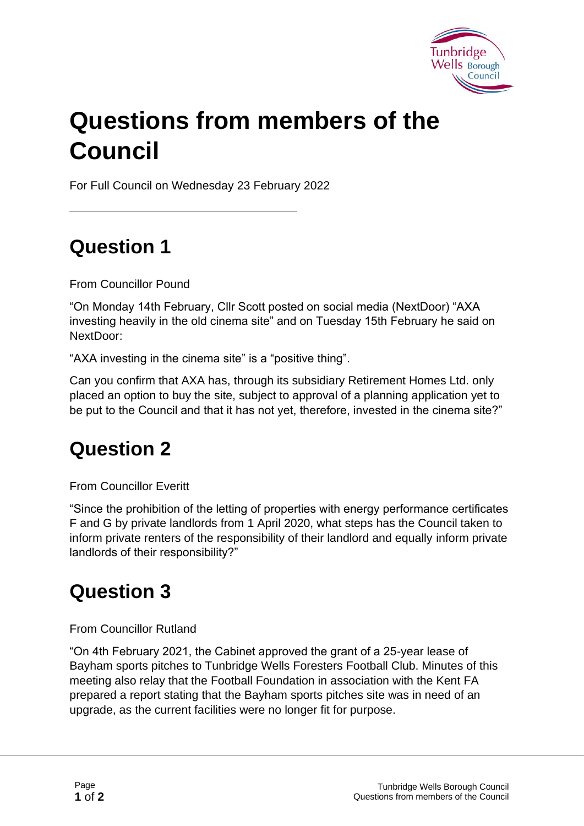

## **Questions from members of the Council**

For Full Council on Wednesday 23 February 2022

## **Question 1**

From Councillor Pound

"On Monday 14th February, Cllr Scott posted on social media (NextDoor) "AXA investing heavily in the old cinema site" and on Tuesday 15th February he said on NextDoor:

"AXA investing in the cinema site" is a "positive thing".

Can you confirm that AXA has, through its subsidiary Retirement Homes Ltd. only placed an option to buy the site, subject to approval of a planning application yet to be put to the Council and that it has not yet, therefore, invested in the cinema site?"

## **Question 2**

From Councillor Everitt

"Since the prohibition of the letting of properties with energy performance certificates F and G by private landlords from 1 April 2020, what steps has the Council taken to inform private renters of the responsibility of their landlord and equally inform private landlords of their responsibility?"

## **Question 3**

From Councillor Rutland

"On 4th February 2021, the Cabinet approved the grant of a 25-year lease of Bayham sports pitches to Tunbridge Wells Foresters Football Club. Minutes of this meeting also relay that the Football Foundation in association with the Kent FA prepared a report stating that the Bayham sports pitches site was in need of an upgrade, as the current facilities were no longer fit for purpose.